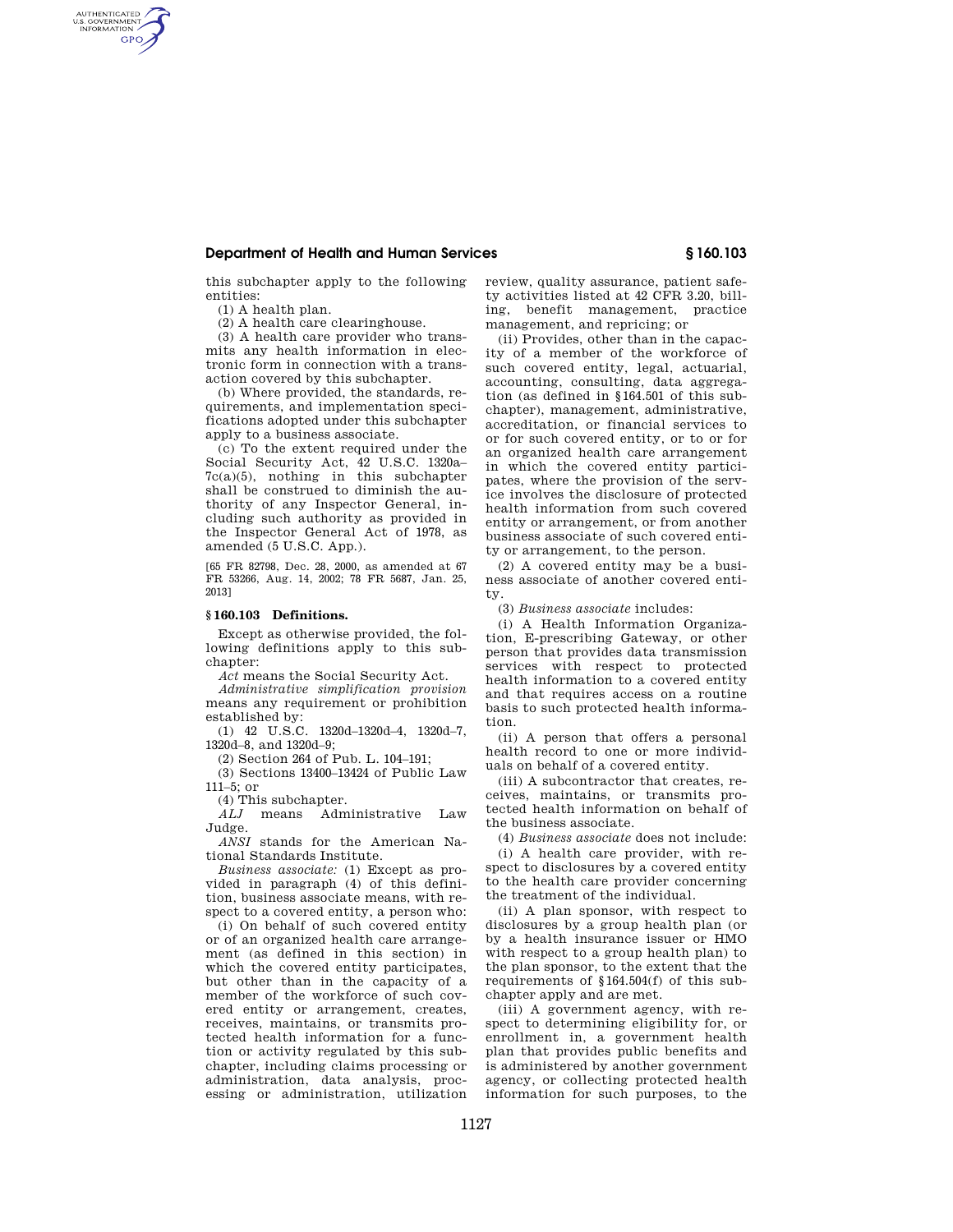# **Department of Health and Human Services § 160.103**

this subchapter apply to the following entities:

(1) A health plan.

AUTHENTICATED<br>U.S. GOVERNMENT<br>INFORMATION **GPO** 

(2) A health care clearinghouse.

(3) A health care provider who transmits any health information in electronic form in connection with a transaction covered by this subchapter.

(b) Where provided, the standards, requirements, and implementation specifications adopted under this subchapter apply to a business associate.

(c) To the extent required under the Social Security Act, 42 U.S.C. 1320a–  $7c(a)(5)$ , nothing in this subchapter shall be construed to diminish the authority of any Inspector General, including such authority as provided in the Inspector General Act of 1978, as amended (5 U.S.C. App.).

[65 FR 82798, Dec. 28, 2000, as amended at 67 FR 53266, Aug. 14, 2002; 78 FR 5687, Jan. 25, 2013]

### **§ 160.103 Definitions.**

Except as otherwise provided, the following definitions apply to this subchapter:

*Act* means the Social Security Act.

*Administrative simplification provision*  means any requirement or prohibition established by:<br>(1)  $42$  U.S.C.

(1) 42 U.S.C. 1320d–1320d–4, 1320d–7, 1320d–8, and 1320d–9;

(2) Section 264 of Pub. L. 104–191;

(3) Sections 13400–13424 of Public Law 111–5; or

(4) This subchapter.

*ALJ* means Administrative Law Judge.

*ANSI* stands for the American National Standards Institute.

*Business associate:* (1) Except as provided in paragraph (4) of this definition, business associate means, with respect to a covered entity, a person who:

(i) On behalf of such covered entity or of an organized health care arrangement (as defined in this section) in which the covered entity participates, but other than in the capacity of a member of the workforce of such covered entity or arrangement, creates, receives, maintains, or transmits protected health information for a function or activity regulated by this subchapter, including claims processing or administration, data analysis, processing or administration, utilization review, quality assurance, patient safety activities listed at 42 CFR 3.20, billing, benefit management, practice management, and repricing; or

(ii) Provides, other than in the capacity of a member of the workforce of such covered entity, legal, actuarial, accounting, consulting, data aggregation (as defined in §164.501 of this subchapter), management, administrative, accreditation, or financial services to or for such covered entity, or to or for an organized health care arrangement in which the covered entity participates, where the provision of the service involves the disclosure of protected health information from such covered entity or arrangement, or from another business associate of such covered entity or arrangement, to the person.

(2) A covered entity may be a business associate of another covered entity.

(3) *Business associate* includes:

(i) A Health Information Organization, E-prescribing Gateway, or other person that provides data transmission services with respect to protected health information to a covered entity and that requires access on a routine basis to such protected health information.

(ii) A person that offers a personal health record to one or more individuals on behalf of a covered entity.

(iii) A subcontractor that creates, receives, maintains, or transmits protected health information on behalf of the business associate.

(4) *Business associate* does not include:

(i) A health care provider, with respect to disclosures by a covered entity to the health care provider concerning the treatment of the individual.

(ii) A plan sponsor, with respect to disclosures by a group health plan (or by a health insurance issuer or HMO with respect to a group health plan) to the plan sponsor, to the extent that the requirements of §164.504(f) of this subchapter apply and are met.

(iii) A government agency, with respect to determining eligibility for, or enrollment in, a government health plan that provides public benefits and is administered by another government agency, or collecting protected health information for such purposes, to the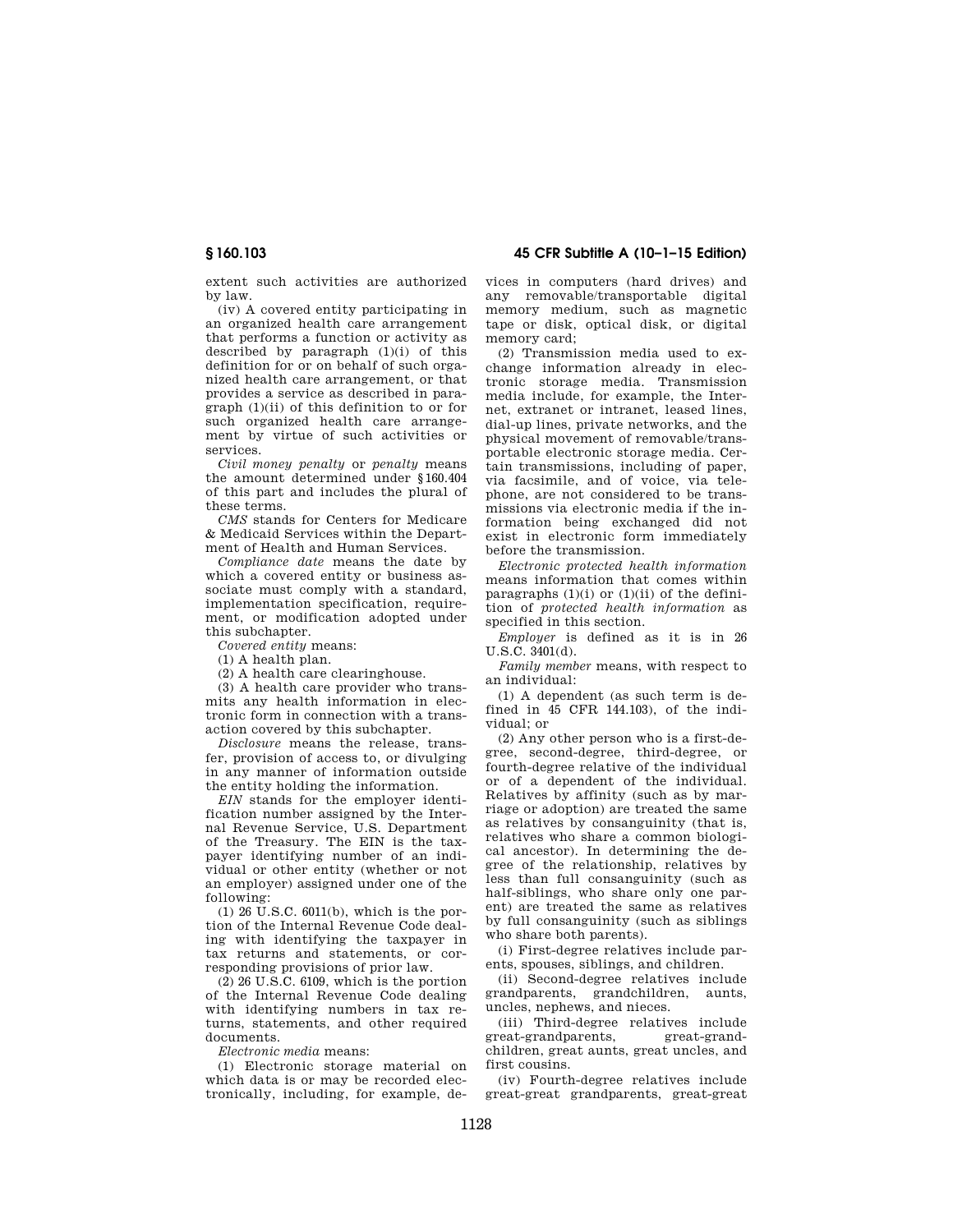**§ 160.103 45 CFR Subtitle A (10–1–15 Edition)** 

extent such activities are authorized by law.

(iv) A covered entity participating in an organized health care arrangement that performs a function or activity as described by paragraph (1)(i) of this definition for or on behalf of such organized health care arrangement, or that provides a service as described in paragraph (1)(ii) of this definition to or for such organized health care arrangement by virtue of such activities or services.

*Civil money penalty* or *penalty* means the amount determined under §160.404 of this part and includes the plural of these terms.

*CMS* stands for Centers for Medicare & Medicaid Services within the Department of Health and Human Services.

*Compliance date* means the date by which a covered entity or business associate must comply with a standard, implementation specification, requirement, or modification adopted under this subchapter.

*Covered entity* means:

(1) A health plan.

(2) A health care clearinghouse.

(3) A health care provider who transmits any health information in electronic form in connection with a transaction covered by this subchapter.

*Disclosure* means the release, transfer, provision of access to, or divulging in any manner of information outside the entity holding the information.

*EIN* stands for the employer identification number assigned by the Internal Revenue Service, U.S. Department of the Treasury. The EIN is the taxpayer identifying number of an individual or other entity (whether or not an employer) assigned under one of the following:

(1) 26 U.S.C. 6011(b), which is the portion of the Internal Revenue Code dealing with identifying the taxpayer in tax returns and statements, or corresponding provisions of prior law.

(2) 26 U.S.C. 6109, which is the portion of the Internal Revenue Code dealing with identifying numbers in tax returns, statements, and other required documents.

*Electronic media* means:

(1) Electronic storage material on which data is or may be recorded electronically, including, for example, devices in computers (hard drives) and any removable/transportable digital memory medium, such as magnetic tape or disk, optical disk, or digital memory card;

(2) Transmission media used to exchange information already in electronic storage media. Transmission media include, for example, the Internet, extranet or intranet, leased lines, dial-up lines, private networks, and the physical movement of removable/transportable electronic storage media. Certain transmissions, including of paper, via facsimile, and of voice, via telephone, are not considered to be transmissions via electronic media if the information being exchanged did not exist in electronic form immediately before the transmission.

*Electronic protected health information*  means information that comes within paragraphs  $(1)(i)$  or  $(1)(ii)$  of the definition of *protected health information* as specified in this section.

*Employer* is defined as it is in 26 U.S.C. 3401(d).

*Family member* means, with respect to an individual:

(1) A dependent (as such term is defined in 45 CFR 144.103), of the individual; or

(2) Any other person who is a first-degree, second-degree, third-degree, or fourth-degree relative of the individual or of a dependent of the individual. Relatives by affinity (such as by marriage or adoption) are treated the same as relatives by consanguinity (that is, relatives who share a common biological ancestor). In determining the degree of the relationship, relatives by less than full consanguinity (such as half-siblings, who share only one parent) are treated the same as relatives by full consanguinity (such as siblings who share both parents).

(i) First-degree relatives include parents, spouses, siblings, and children.

(ii) Second-degree relatives include grandparents, grandchildren, aunts, uncles, nephews, and nieces.

(iii) Third-degree relatives include great-grandparents, great-grandchildren, great aunts, great uncles, and first cousins.

(iv) Fourth-degree relatives include great-great grandparents, great-great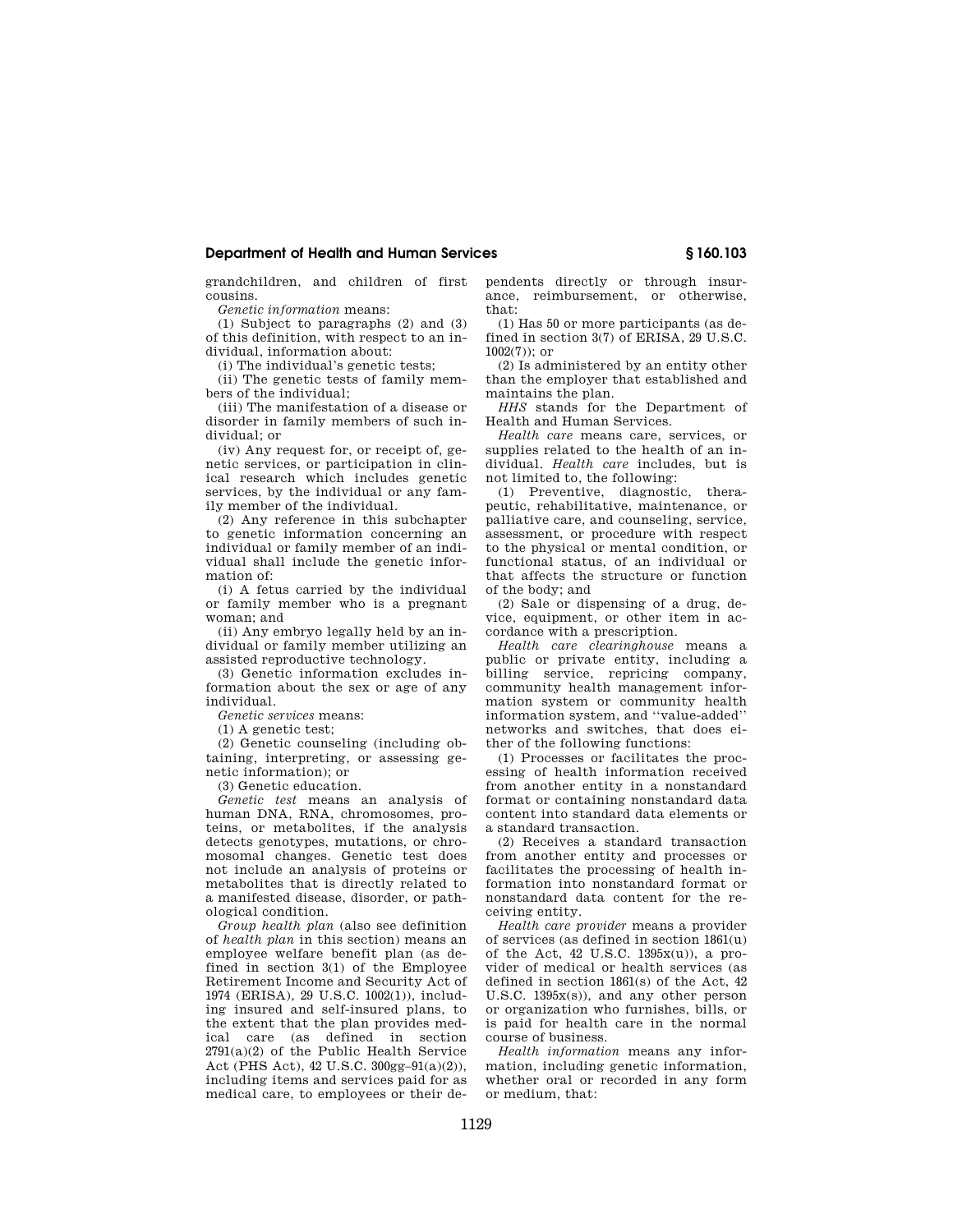## **Department of Health and Human Services § 160.103**

grandchildren, and children of first cousins.

*Genetic information* means:

(1) Subject to paragraphs (2) and (3) of this definition, with respect to an individual, information about:

(i) The individual's genetic tests;

(ii) The genetic tests of family members of the individual;

(iii) The manifestation of a disease or disorder in family members of such individual; or

(iv) Any request for, or receipt of, genetic services, or participation in clinical research which includes genetic services, by the individual or any family member of the individual.

(2) Any reference in this subchapter to genetic information concerning an individual or family member of an individual shall include the genetic information of:

(i) A fetus carried by the individual or family member who is a pregnant woman; and

(ii) Any embryo legally held by an individual or family member utilizing an assisted reproductive technology.

(3) Genetic information excludes information about the sex or age of any individual.

*Genetic services* means:

(1) A genetic test;

(2) Genetic counseling (including obtaining, interpreting, or assessing genetic information); or

(3) Genetic education.

*Genetic test* means an analysis of human DNA, RNA, chromosomes, proteins, or metabolites, if the analysis detects genotypes, mutations, or chromosomal changes. Genetic test does not include an analysis of proteins or metabolites that is directly related to a manifested disease, disorder, or pathological condition.

*Group health plan* (also see definition of *health plan* in this section) means an employee welfare benefit plan (as defined in section 3(1) of the Employee Retirement Income and Security Act of 1974 (ERISA), 29 U.S.C. 1002(1)), including insured and self-insured plans, to the extent that the plan provides medical care (as defined in section  $2791(a)(2)$  of the Public Health Service Act (PHS Act), 42 U.S.C. 300gg–91(a)(2)), including items and services paid for as medical care, to employees or their dependents directly or through insurance, reimbursement, or otherwise, that:

(1) Has 50 or more participants (as defined in section 3(7) of ERISA, 29 U.S.C. 1002(7)); or

(2) Is administered by an entity other than the employer that established and maintains the plan.

*HHS* stands for the Department of Health and Human Services.

*Health care* means care, services, or supplies related to the health of an individual. *Health care* includes, but is not limited to, the following:

(1) Preventive, diagnostic, therapeutic, rehabilitative, maintenance, or palliative care, and counseling, service, assessment, or procedure with respect to the physical or mental condition, or functional status, of an individual or that affects the structure or function of the body; and

(2) Sale or dispensing of a drug, device, equipment, or other item in accordance with a prescription.

*Health care clearinghouse* means a public or private entity, including a billing service, repricing company, community health management information system or community health information system, and ''value-added'' networks and switches, that does either of the following functions:

(1) Processes or facilitates the processing of health information received from another entity in a nonstandard format or containing nonstandard data content into standard data elements or a standard transaction.

(2) Receives a standard transaction from another entity and processes or facilitates the processing of health information into nonstandard format or nonstandard data content for the receiving entity.

*Health care provider* means a provider of services (as defined in section 1861(u) of the Act,  $42$  U.S.C.  $1395x(u)$ , a provider of medical or health services (as defined in section 1861(s) of the Act, 42 U.S.C. 1395x(s)), and any other person or organization who furnishes, bills, or is paid for health care in the normal course of business.

*Health information* means any information, including genetic information, whether oral or recorded in any form or medium, that: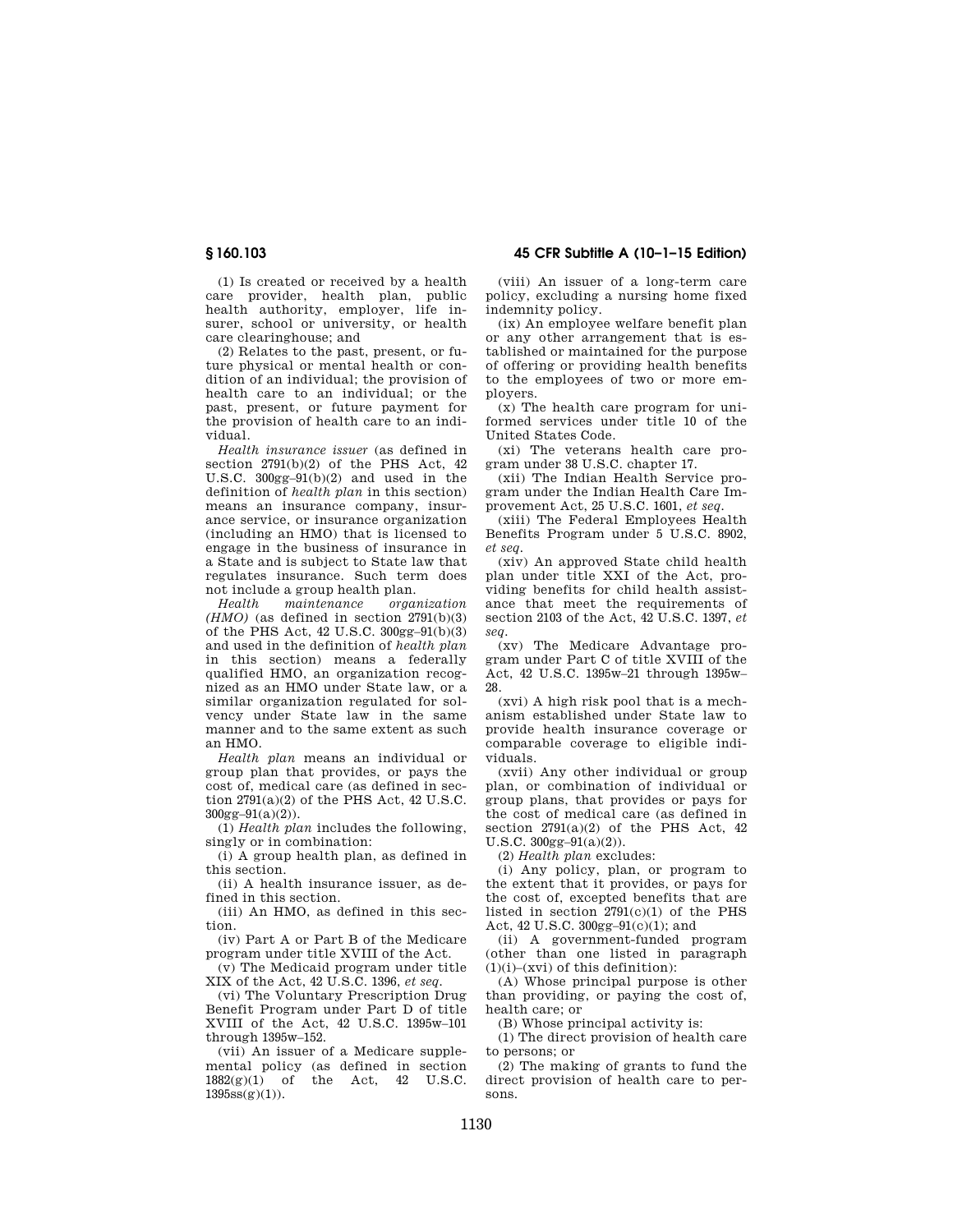**§ 160.103 45 CFR Subtitle A (10–1–15 Edition)** 

(1) Is created or received by a health care provider, health plan, public health authority, employer, life insurer, school or university, or health care clearinghouse; and

(2) Relates to the past, present, or future physical or mental health or condition of an individual; the provision of health care to an individual; or the past, present, or future payment for the provision of health care to an individual.

*Health insurance issuer* (as defined in section 2791(b)(2) of the PHS Act, 42 U.S.C.  $300$ gg- $91(b)(2)$  and used in the definition of *health plan* in this section) means an insurance company, insurance service, or insurance organization (including an HMO) that is licensed to engage in the business of insurance in a State and is subject to State law that regulates insurance. Such term does not include a group health plan.

*Health maintenance organization*   $(HMO)$  (as defined in section  $2791(b)(3)$ of the PHS Act, 42 U.S.C. 300gg–91(b)(3) and used in the definition of *health plan*  in this section) means a federally qualified HMO, an organization recognized as an HMO under State law, or a similar organization regulated for solvency under State law in the same manner and to the same extent as such an HMO.

*Health plan* means an individual or group plan that provides, or pays the cost of, medical care (as defined in section  $2791(a)(2)$  of the PHS Act,  $42 \text{ U.S.C.}$ 300gg–91(a)(2)).

(1) *Health plan* includes the following, singly or in combination:

(i) A group health plan, as defined in this section.

(ii) A health insurance issuer, as defined in this section.

(iii) An HMO, as defined in this section.

(iv) Part A or Part B of the Medicare program under title XVIII of the Act.

(v) The Medicaid program under title XIX of the Act, 42 U.S.C. 1396, *et seq.* 

(vi) The Voluntary Prescription Drug Benefit Program under Part D of title XVIII of the Act, 42 U.S.C. 1395w–101 through 1395w–152.

(vii) An issuer of a Medicare supplemental policy (as defined in section  $1882(g)(1)$  of the Act, 42 U.S.C.  $1395ss(g)(1)$ ).

(viii) An issuer of a long-term care policy, excluding a nursing home fixed indemnity policy.

(ix) An employee welfare benefit plan or any other arrangement that is established or maintained for the purpose of offering or providing health benefits to the employees of two or more employers.

 $(x)$  The health care program for uniformed services under title 10 of the United States Code.

(xi) The veterans health care program under 38 U.S.C. chapter 17.

(xii) The Indian Health Service program under the Indian Health Care Improvement Act, 25 U.S.C. 1601, *et seq.* 

(xiii) The Federal Employees Health Benefits Program under 5 U.S.C. 8902, *et seq.* 

(xiv) An approved State child health plan under title XXI of the Act, providing benefits for child health assistance that meet the requirements of section 2103 of the Act, 42 U.S.C. 1397, *et seq.* 

(xv) The Medicare Advantage program under Part C of title XVIII of the Act, 42 U.S.C. 1395w–21 through 1395w– 28.

(xvi) A high risk pool that is a mechanism established under State law to provide health insurance coverage or comparable coverage to eligible individuals.

(xvii) Any other individual or group plan, or combination of individual or group plans, that provides or pays for the cost of medical care (as defined in section  $2791(a)(2)$  of the PHS Act, 42  $U.S.C. 300gg-91(a)(2)$ .

(2) *Health plan* excludes:

(i) Any policy, plan, or program to the extent that it provides, or pays for the cost of, excepted benefits that are listed in section 2791(c)(1) of the PHS Act, 42 U.S.C. 300gg–91(c)(1); and

(ii) A government-funded program (other than one listed in paragraph  $(1)(i)$ – $(xvi)$  of this definition):

(A) Whose principal purpose is other than providing, or paying the cost of, health care; or

(B) Whose principal activity is:

(1) The direct provision of health care to persons; or

(2) The making of grants to fund the direct provision of health care to persons.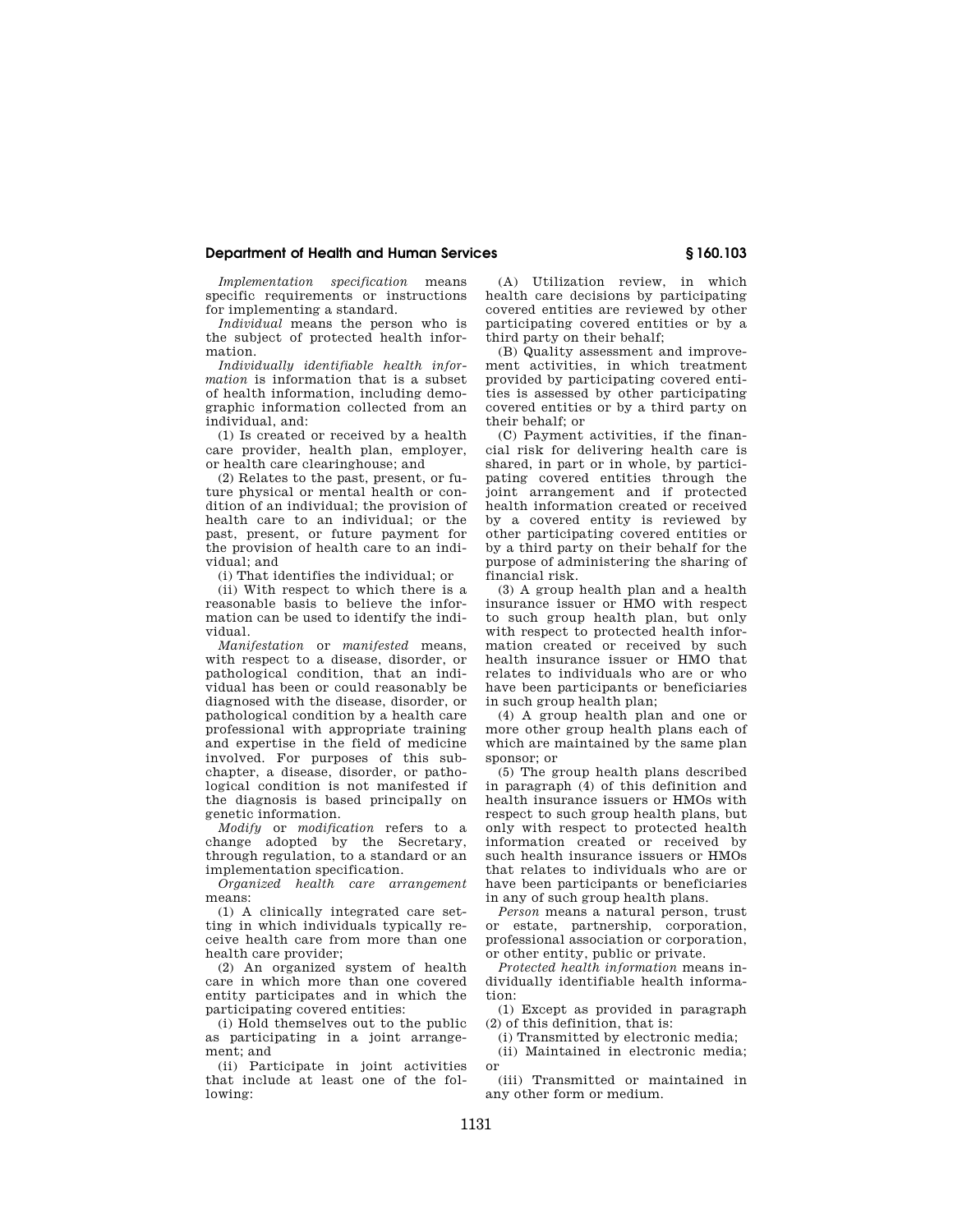## **Department of Health and Human Services § 160.103**

*Implementation specification* means specific requirements or instructions for implementing a standard.

*Individual* means the person who is the subject of protected health information.

*Individually identifiable health information* is information that is a subset of health information, including demographic information collected from an individual, and:

(1) Is created or received by a health care provider, health plan, employer, or health care clearinghouse; and

(2) Relates to the past, present, or future physical or mental health or condition of an individual; the provision of health care to an individual; or the past, present, or future payment for the provision of health care to an individual; and

(i) That identifies the individual; or

(ii) With respect to which there is a reasonable basis to believe the information can be used to identify the individual.

*Manifestation* or *manifested* means, with respect to a disease, disorder, or pathological condition, that an individual has been or could reasonably be diagnosed with the disease, disorder, or pathological condition by a health care professional with appropriate training and expertise in the field of medicine involved. For purposes of this subchapter, a disease, disorder, or pathological condition is not manifested if the diagnosis is based principally on genetic information.

*Modify* or *modification* refers to a change adopted by the Secretary, through regulation, to a standard or an implementation specification.

*Organized health care arrangement*  means:

(1) A clinically integrated care setting in which individuals typically receive health care from more than one health care provider;

(2) An organized system of health care in which more than one covered entity participates and in which the participating covered entities:

(i) Hold themselves out to the public as participating in a joint arrangement; and

(ii) Participate in joint activities that include at least one of the following:

(A) Utilization review, in which health care decisions by participating covered entities are reviewed by other participating covered entities or by a third party on their behalf;

(B) Quality assessment and improvement activities, in which treatment provided by participating covered entities is assessed by other participating covered entities or by a third party on their behalf; or

(C) Payment activities, if the financial risk for delivering health care is shared, in part or in whole, by participating covered entities through the joint arrangement and if protected health information created or received by a covered entity is reviewed by other participating covered entities or by a third party on their behalf for the purpose of administering the sharing of financial risk.

(3) A group health plan and a health insurance issuer or HMO with respect to such group health plan, but only with respect to protected health information created or received by such health insurance issuer or HMO that relates to individuals who are or who have been participants or beneficiaries in such group health plan;

(4) A group health plan and one or more other group health plans each of which are maintained by the same plan sponsor; or

(5) The group health plans described in paragraph (4) of this definition and health insurance issuers or HMOs with respect to such group health plans, but only with respect to protected health information created or received by such health insurance issuers or HMOs that relates to individuals who are or have been participants or beneficiaries in any of such group health plans.

*Person* means a natural person, trust or estate, partnership, corporation, professional association or corporation, or other entity, public or private.

*Protected health information* means individually identifiable health information:

(1) Except as provided in paragraph (2) of this definition, that is:

(i) Transmitted by electronic media;

(ii) Maintained in electronic media; or

(iii) Transmitted or maintained in any other form or medium.